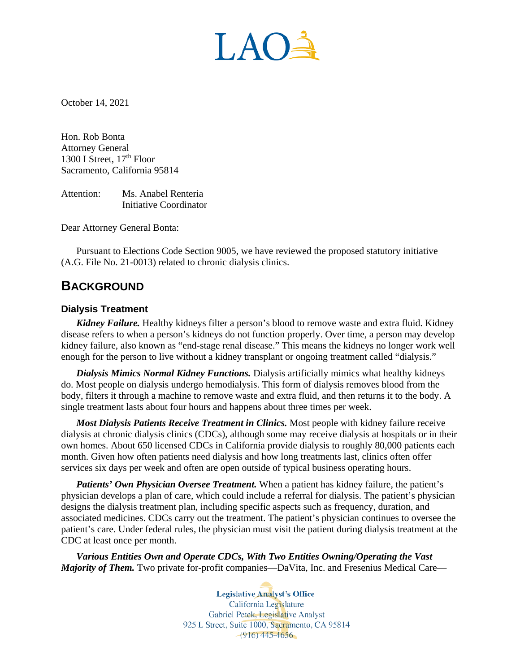LAO

October 14, 2021

Hon. Rob Bonta Attorney General 1300 I Street,  $17<sup>th</sup>$  Floor Sacramento, California 95814

Attention: Ms. Anabel Renteria Initiative Coordinator

Dear Attorney General Bonta:

Pursuant to Elections Code Section 9005, we have reviewed the proposed statutory initiative (A.G. File No. 21-0013) related to chronic dialysis clinics.

# **BACKGROUND**

### **Dialysis Treatment**

*Kidney Failure.* Healthy kidneys filter a person's blood to remove waste and extra fluid. Kidney disease refers to when a person's kidneys do not function properly. Over time, a person may develop kidney failure, also known as "end-stage renal disease." This means the kidneys no longer work well enough for the person to live without a kidney transplant or ongoing treatment called "dialysis."

*Dialysis Mimics Normal Kidney Functions.* Dialysis artificially mimics what healthy kidneys do. Most people on dialysis undergo hemodialysis. This form of dialysis removes blood from the body, filters it through a machine to remove waste and extra fluid, and then returns it to the body. A single treatment lasts about four hours and happens about three times per week.

*Most Dialysis Patients Receive Treatment in Clinics.* Most people with kidney failure receive dialysis at chronic dialysis clinics (CDCs), although some may receive dialysis at hospitals or in their own homes. About 650 licensed CDCs in California provide dialysis to roughly 80,000 patients each month. Given how often patients need dialysis and how long treatments last, clinics often offer services six days per week and often are open outside of typical business operating hours.

*Patients' Own Physician Oversee Treatment.* When a patient has kidney failure, the patient's physician develops a plan of care, which could include a referral for dialysis. The patient's physician designs the dialysis treatment plan, including specific aspects such as frequency, duration, and associated medicines. CDCs carry out the treatment. The patient's physician continues to oversee the patient's care. Under federal rules, the physician must visit the patient during dialysis treatment at the CDC at least once per month.

*Various Entities Own and Operate CDCs, With Two Entities Owning/Operating the Vast Majority of Them.* Two private for-profit companies—DaVita, Inc. and Fresenius Medical Care—

> **Legislative Analyst's Office** California Legislature Gabriel Petek, Legislative Analyst 925 L Street, Suite 1000, Sacramento, CA 95814  $-(916)$  445-4656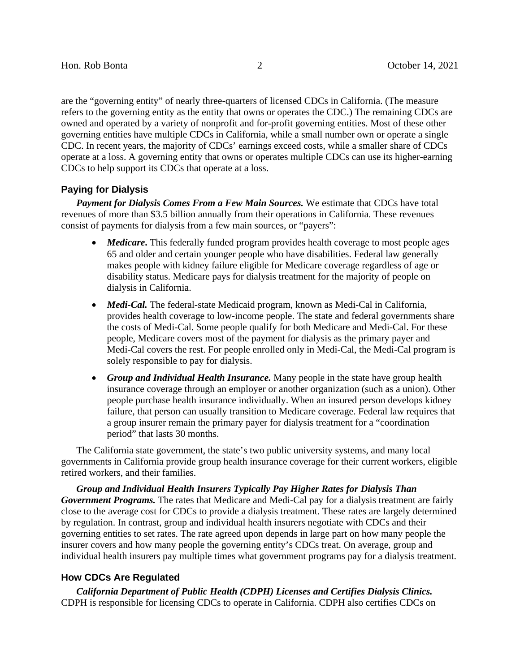are the "governing entity" of nearly three-quarters of licensed CDCs in California. (The measure refers to the governing entity as the entity that owns or operates the CDC.) The remaining CDCs are owned and operated by a variety of nonprofit and for-profit governing entities. Most of these other governing entities have multiple CDCs in California, while a small number own or operate a single CDC. In recent years, the majority of CDCs' earnings exceed costs, while a smaller share of CDCs operate at a loss. A governing entity that owns or operates multiple CDCs can use its higher-earning CDCs to help support its CDCs that operate at a loss.

# **Paying for Dialysis**

*Payment for Dialysis Comes From a Few Main Sources.* We estimate that CDCs have total revenues of more than \$3.5 billion annually from their operations in California. These revenues consist of payments for dialysis from a few main sources, or "payers":

- *Medicare*. This federally funded program provides health coverage to most people ages 65 and older and certain younger people who have disabilities. Federal law generally makes people with kidney failure eligible for Medicare coverage regardless of age or disability status. Medicare pays for dialysis treatment for the majority of people on dialysis in California.
- *Medi-Cal.* The federal-state Medicaid program, known as Medi-Cal in California, provides health coverage to low-income people. The state and federal governments share the costs of Medi-Cal. Some people qualify for both Medicare and Medi-Cal. For these people, Medicare covers most of the payment for dialysis as the primary payer and Medi-Cal covers the rest. For people enrolled only in Medi-Cal, the Medi-Cal program is solely responsible to pay for dialysis.
- *Group and Individual Health Insurance.* Many people in the state have group health insurance coverage through an employer or another organization (such as a union). Other people purchase health insurance individually. When an insured person develops kidney failure, that person can usually transition to Medicare coverage. Federal law requires that a group insurer remain the primary payer for dialysis treatment for a "coordination period" that lasts 30 months.

The California state government, the state's two public university systems, and many local governments in California provide group health insurance coverage for their current workers, eligible retired workers, and their families.

*Group and Individual Health Insurers Typically Pay Higher Rates for Dialysis Than Government Programs.* The rates that Medicare and Medi-Cal pay for a dialysis treatment are fairly close to the average cost for CDCs to provide a dialysis treatment. These rates are largely determined by regulation. In contrast, group and individual health insurers negotiate with CDCs and their governing entities to set rates. The rate agreed upon depends in large part on how many people the insurer covers and how many people the governing entity's CDCs treat. On average, group and individual health insurers pay multiple times what government programs pay for a dialysis treatment.

### **How CDCs Are Regulated**

*California Department of Public Health (CDPH) Licenses and Certifies Dialysis Clinics.*  CDPH is responsible for licensing CDCs to operate in California. CDPH also certifies CDCs on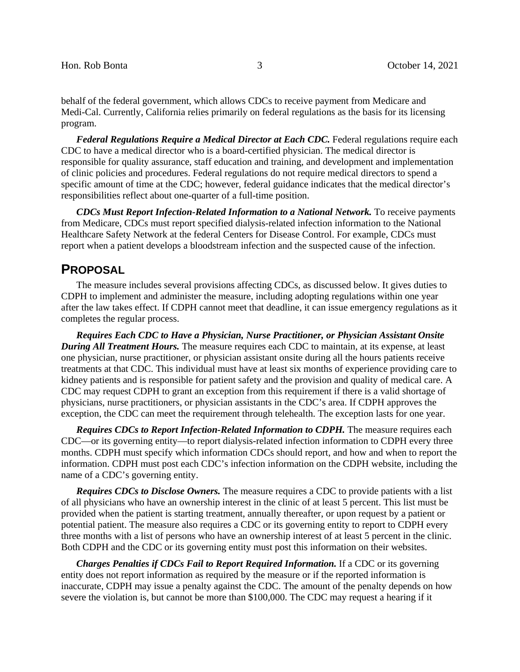behalf of the federal government, which allows CDCs to receive payment from Medicare and Medi-Cal. Currently, California relies primarily on federal regulations as the basis for its licensing program.

**Federal Regulations Require a Medical Director at Each CDC.** Federal regulations require each CDC to have a medical director who is a board-certified physician. The medical director is responsible for quality assurance, staff education and training, and development and implementation of clinic policies and procedures. Federal regulations do not require medical directors to spend a specific amount of time at the CDC; however, federal guidance indicates that the medical director's responsibilities reflect about one-quarter of a full-time position.

*CDCs Must Report Infection-Related Information to a National Network.* To receive payments from Medicare, CDCs must report specified dialysis-related infection information to the National Healthcare Safety Network at the federal Centers for Disease Control. For example, CDCs must report when a patient develops a bloodstream infection and the suspected cause of the infection.

# **PROPOSAL**

The measure includes several provisions affecting CDCs, as discussed below. It gives duties to CDPH to implement and administer the measure, including adopting regulations within one year after the law takes effect. If CDPH cannot meet that deadline, it can issue emergency regulations as it completes the regular process.

*Requires Each CDC to Have a Physician, Nurse Practitioner, or Physician Assistant Onsite During All Treatment Hours.* The measure requires each CDC to maintain, at its expense, at least one physician, nurse practitioner, or physician assistant onsite during all the hours patients receive treatments at that CDC. This individual must have at least six months of experience providing care to kidney patients and is responsible for patient safety and the provision and quality of medical care. A CDC may request CDPH to grant an exception from this requirement if there is a valid shortage of physicians, nurse practitioners, or physician assistants in the CDC's area. If CDPH approves the exception, the CDC can meet the requirement through telehealth. The exception lasts for one year.

**Requires CDCs to Report Infection-Related Information to CDPH.** The measure requires each CDC—or its governing entity—to report dialysis-related infection information to CDPH every three months. CDPH must specify which information CDCs should report, and how and when to report the information. CDPH must post each CDC's infection information on the CDPH website, including the name of a CDC's governing entity.

*Requires CDCs to Disclose Owners.* The measure requires a CDC to provide patients with a list of all physicians who have an ownership interest in the clinic of at least 5 percent. This list must be provided when the patient is starting treatment, annually thereafter, or upon request by a patient or potential patient. The measure also requires a CDC or its governing entity to report to CDPH every three months with a list of persons who have an ownership interest of at least 5 percent in the clinic. Both CDPH and the CDC or its governing entity must post this information on their websites.

*Charges Penalties if CDCs Fail to Report Required Information.* If a CDC or its governing entity does not report information as required by the measure or if the reported information is inaccurate, CDPH may issue a penalty against the CDC. The amount of the penalty depends on how severe the violation is, but cannot be more than \$100,000. The CDC may request a hearing if it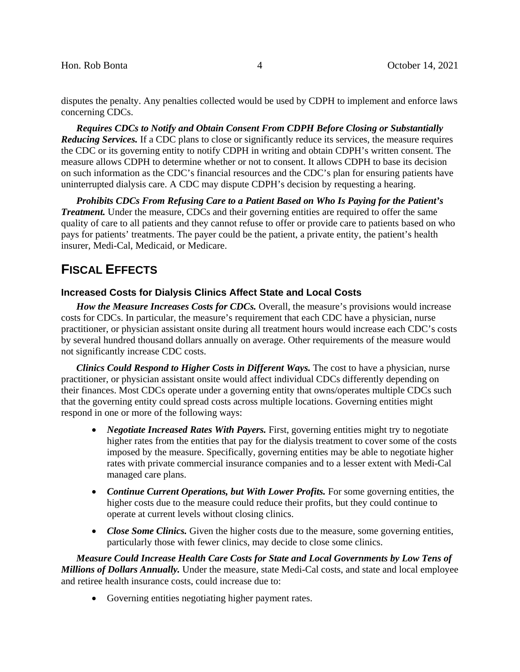disputes the penalty. Any penalties collected would be used by CDPH to implement and enforce laws concerning CDCs.

*Requires CDCs to Notify and Obtain Consent From CDPH Before Closing or Substantially Reducing Services.* If a CDC plans to close or significantly reduce its services, the measure requires the CDC or its governing entity to notify CDPH in writing and obtain CDPH's written consent. The measure allows CDPH to determine whether or not to consent. It allows CDPH to base its decision on such information as the CDC's financial resources and the CDC's plan for ensuring patients have uninterrupted dialysis care. A CDC may dispute CDPH's decision by requesting a hearing.

*Prohibits CDCs From Refusing Care to a Patient Based on Who Is Paying for the Patient's Treatment.* Under the measure, CDCs and their governing entities are required to offer the same quality of care to all patients and they cannot refuse to offer or provide care to patients based on who pays for patients' treatments. The payer could be the patient, a private entity, the patient's health insurer, Medi-Cal, Medicaid, or Medicare.

# **FISCAL EFFECTS**

# **Increased Costs for Dialysis Clinics Affect State and Local Costs**

*How the Measure Increases Costs for CDCs.* Overall, the measure's provisions would increase costs for CDCs. In particular, the measure's requirement that each CDC have a physician, nurse practitioner, or physician assistant onsite during all treatment hours would increase each CDC's costs by several hundred thousand dollars annually on average. Other requirements of the measure would not significantly increase CDC costs.

*Clinics Could Respond to Higher Costs in Different Ways.* The cost to have a physician, nurse practitioner, or physician assistant onsite would affect individual CDCs differently depending on their finances. Most CDCs operate under a governing entity that owns/operates multiple CDCs such that the governing entity could spread costs across multiple locations. Governing entities might respond in one or more of the following ways:

- *Negotiate Increased Rates With Payers.* First, governing entities might try to negotiate higher rates from the entities that pay for the dialysis treatment to cover some of the costs imposed by the measure. Specifically, governing entities may be able to negotiate higher rates with private commercial insurance companies and to a lesser extent with Medi-Cal managed care plans.
- *Continue Current Operations, but With Lower Profits.* For some governing entities, the higher costs due to the measure could reduce their profits, but they could continue to operate at current levels without closing clinics.
- *Close Some Clinics*. Given the higher costs due to the measure, some governing entities, particularly those with fewer clinics, may decide to close some clinics.

*Measure Could Increase Health Care Costs for State and Local Governments by Low Tens of Millions of Dollars Annually.* Under the measure, state Medi-Cal costs, and state and local employee and retiree health insurance costs, could increase due to:

• Governing entities negotiating higher payment rates.